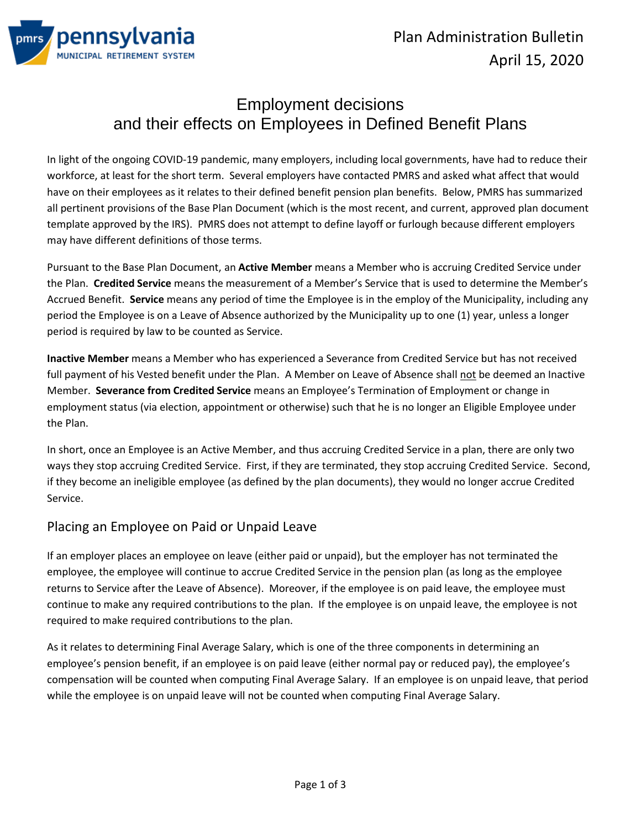

# Employment decisions and their effects on Employees in Defined Benefit Plans

In light of the ongoing COVID-19 pandemic, many employers, including local governments, have had to reduce their workforce, at least for the short term. Several employers have contacted PMRS and asked what affect that would have on their employees as it relates to their defined benefit pension plan benefits. Below, PMRS has summarized all pertinent provisions of the Base Plan Document (which is the most recent, and current, approved plan document template approved by the IRS). PMRS does not attempt to define layoff or furlough because different employers may have different definitions of those terms.

Pursuant to the Base Plan Document, an **Active Member** means a Member who is accruing Credited Service under the Plan. **Credited Service** means the measurement of a Member's Service that is used to determine the Member's Accrued Benefit. **Service** means any period of time the Employee is in the employ of the Municipality, including any period the Employee is on a Leave of Absence authorized by the Municipality up to one (1) year, unless a longer period is required by law to be counted as Service.

**Inactive Member** means a Member who has experienced a Severance from Credited Service but has not received full payment of his Vested benefit under the Plan. A Member on Leave of Absence shall not be deemed an Inactive Member. **Severance from Credited Service** means an Employee's Termination of Employment or change in employment status (via election, appointment or otherwise) such that he is no longer an Eligible Employee under the Plan.

In short, once an Employee is an Active Member, and thus accruing Credited Service in a plan, there are only two ways they stop accruing Credited Service. First, if they are terminated, they stop accruing Credited Service. Second, if they become an ineligible employee (as defined by the plan documents), they would no longer accrue Credited Service.

#### Placing an Employee on Paid or Unpaid Leave

If an employer places an employee on leave (either paid or unpaid), but the employer has not terminated the employee, the employee will continue to accrue Credited Service in the pension plan (as long as the employee returns to Service after the Leave of Absence). Moreover, if the employee is on paid leave, the employee must continue to make any required contributions to the plan. If the employee is on unpaid leave, the employee is not required to make required contributions to the plan.

As it relates to determining Final Average Salary, which is one of the three components in determining an employee's pension benefit, if an employee is on paid leave (either normal pay or reduced pay), the employee's compensation will be counted when computing Final Average Salary. If an employee is on unpaid leave, that period while the employee is on unpaid leave will not be counted when computing Final Average Salary.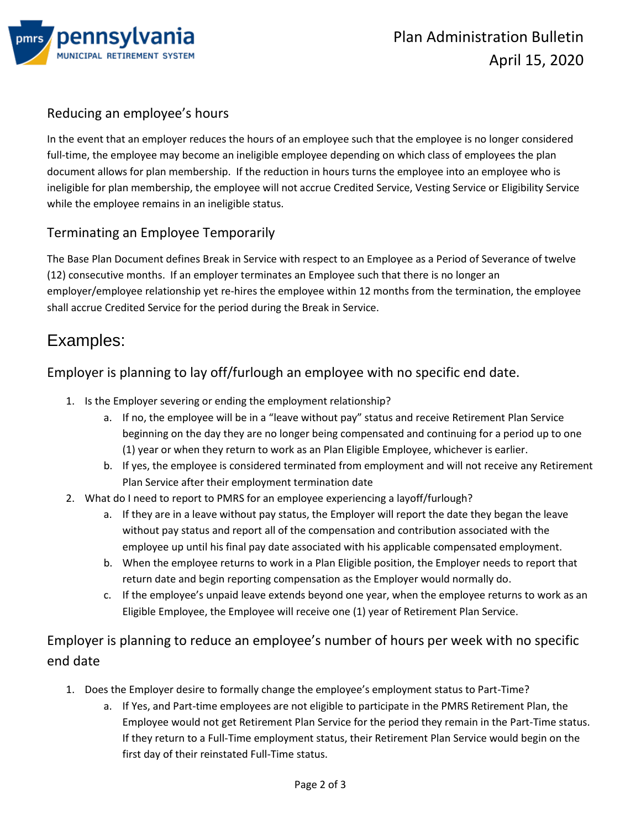

## Reducing an employee's hours

In the event that an employer reduces the hours of an employee such that the employee is no longer considered full-time, the employee may become an ineligible employee depending on which class of employees the plan document allows for plan membership. If the reduction in hours turns the employee into an employee who is ineligible for plan membership, the employee will not accrue Credited Service, Vesting Service or Eligibility Service while the employee remains in an ineligible status.

## Terminating an Employee Temporarily

The Base Plan Document defines Break in Service with respect to an Employee as a Period of Severance of twelve (12) consecutive months. If an employer terminates an Employee such that there is no longer an employer/employee relationship yet re-hires the employee within 12 months from the termination, the employee shall accrue Credited Service for the period during the Break in Service.

## Examples:

## Employer is planning to lay off/furlough an employee with no specific end date.

- 1. Is the Employer severing or ending the employment relationship?
	- a. If no, the employee will be in a "leave without pay" status and receive Retirement Plan Service beginning on the day they are no longer being compensated and continuing for a period up to one (1) year or when they return to work as an Plan Eligible Employee, whichever is earlier.
	- b. If yes, the employee is considered terminated from employment and will not receive any Retirement Plan Service after their employment termination date
- 2. What do I need to report to PMRS for an employee experiencing a layoff/furlough?
	- a. If they are in a leave without pay status, the Employer will report the date they began the leave without pay status and report all of the compensation and contribution associated with the employee up until his final pay date associated with his applicable compensated employment.
	- b. When the employee returns to work in a Plan Eligible position, the Employer needs to report that return date and begin reporting compensation as the Employer would normally do.
	- c. If the employee's unpaid leave extends beyond one year, when the employee returns to work as an Eligible Employee, the Employee will receive one (1) year of Retirement Plan Service.

Employer is planning to reduce an employee's number of hours per week with no specific end date

- 1. Does the Employer desire to formally change the employee's employment status to Part-Time?
	- a. If Yes, and Part-time employees are not eligible to participate in the PMRS Retirement Plan, the Employee would not get Retirement Plan Service for the period they remain in the Part-Time status. If they return to a Full-Time employment status, their Retirement Plan Service would begin on the first day of their reinstated Full-Time status.